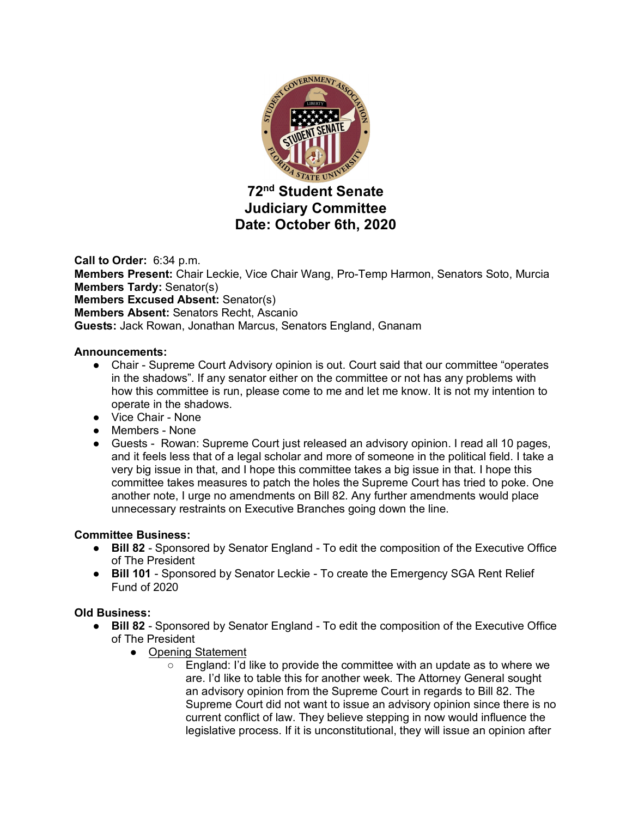

**Call to Order:** 6:34 p.m.

**Members Present:** Chair Leckie, Vice Chair Wang, Pro-Temp Harmon, Senators Soto, Murcia **Members Tardy:** Senator(s)

**Members Excused Absent:** Senator(s)

**Members Absent:** Senators Recht, Ascanio

**Guests:** Jack Rowan, Jonathan Marcus, Senators England, Gnanam

### **Announcements:**

- Chair Supreme Court Advisory opinion is out. Court said that our committee "operates" in the shadows". If any senator either on the committee or not has any problems with how this committee is run, please come to me and let me know. It is not my intention to operate in the shadows.
- Vice Chair None
- Members None
- Guests Rowan: Supreme Court just released an advisory opinion. I read all 10 pages, and it feels less that of a legal scholar and more of someone in the political field. I take a very big issue in that, and I hope this committee takes a big issue in that. I hope this committee takes measures to patch the holes the Supreme Court has tried to poke. One another note, I urge no amendments on Bill 82. Any further amendments would place unnecessary restraints on Executive Branches going down the line.

## **Committee Business:**

- **Bill 82**  Sponsored by Senator England To edit the composition of the Executive Office of The President
- **Bill 101** Sponsored by Senator Leckie To create the Emergency SGA Rent Relief Fund of 2020

## **Old Business:**

- **Bill 82**  Sponsored by Senator England To edit the composition of the Executive Office of The President
	- Opening Statement
		- England: I'd like to provide the committee with an update as to where we are. I'd like to table this for another week. The Attorney General sought an advisory opinion from the Supreme Court in regards to Bill 82. The Supreme Court did not want to issue an advisory opinion since there is no current conflict of law. They believe stepping in now would influence the legislative process. If it is unconstitutional, they will issue an opinion after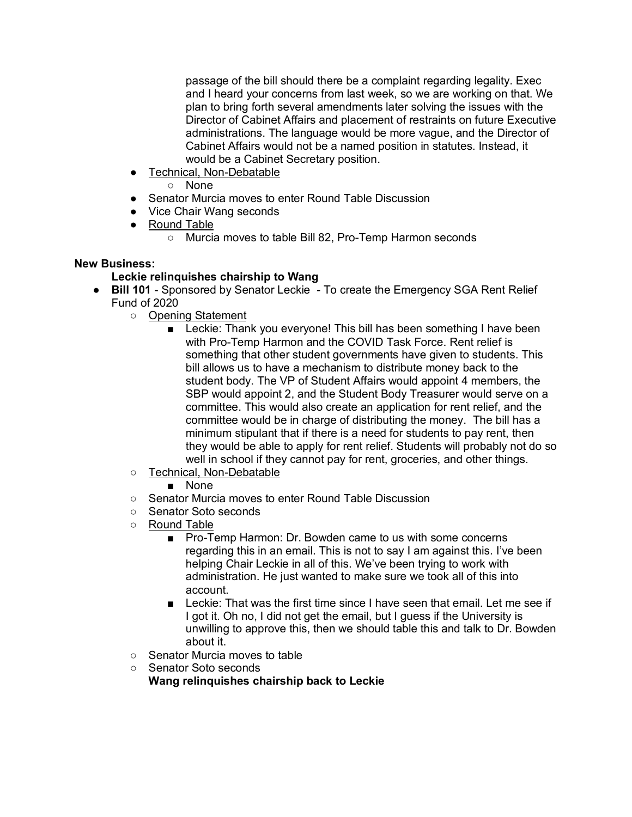passage of the bill should there be a complaint regarding legality. Exec and I heard your concerns from last week, so we are working on that. We plan to bring forth several amendments later solving the issues with the Director of Cabinet Affairs and placement of restraints on future Executive administrations. The language would be more vague, and the Director of Cabinet Affairs would not be a named position in statutes. Instead, it would be a Cabinet Secretary position.

● Technical, Non-Debatable

○ None

- Senator Murcia moves to enter Round Table Discussion
- Vice Chair Wang seconds
- Round Table
	- Murcia moves to table Bill 82, Pro-Temp Harmon seconds

## **New Business:**

# **Leckie relinquishes chairship to Wang**

- **Bill 101** Sponsored by Senator Leckie To create the Emergency SGA Rent Relief Fund of 2020
	- Opening Statement
		- Leckie: Thank you everyone! This bill has been something I have been with Pro-Temp Harmon and the COVID Task Force. Rent relief is something that other student governments have given to students. This bill allows us to have a mechanism to distribute money back to the student body. The VP of Student Affairs would appoint 4 members, the SBP would appoint 2, and the Student Body Treasurer would serve on a committee. This would also create an application for rent relief, and the committee would be in charge of distributing the money. The bill has a minimum stipulant that if there is a need for students to pay rent, then they would be able to apply for rent relief. Students will probably not do so well in school if they cannot pay for rent, groceries, and other things.
	- Technical, Non-Debatable
		- None
	- Senator Murcia moves to enter Round Table Discussion
	- Senator Soto seconds
	- Round Table
		- Pro-Temp Harmon: Dr. Bowden came to us with some concerns regarding this in an email. This is not to say I am against this. I've been helping Chair Leckie in all of this. We've been trying to work with administration. He just wanted to make sure we took all of this into account.
		- Leckie: That was the first time since I have seen that email. Let me see if I got it. Oh no, I did not get the email, but I guess if the University is unwilling to approve this, then we should table this and talk to Dr. Bowden about it.
	- Senator Murcia moves to table
	- Senator Soto seconds

**Wang relinquishes chairship back to Leckie**